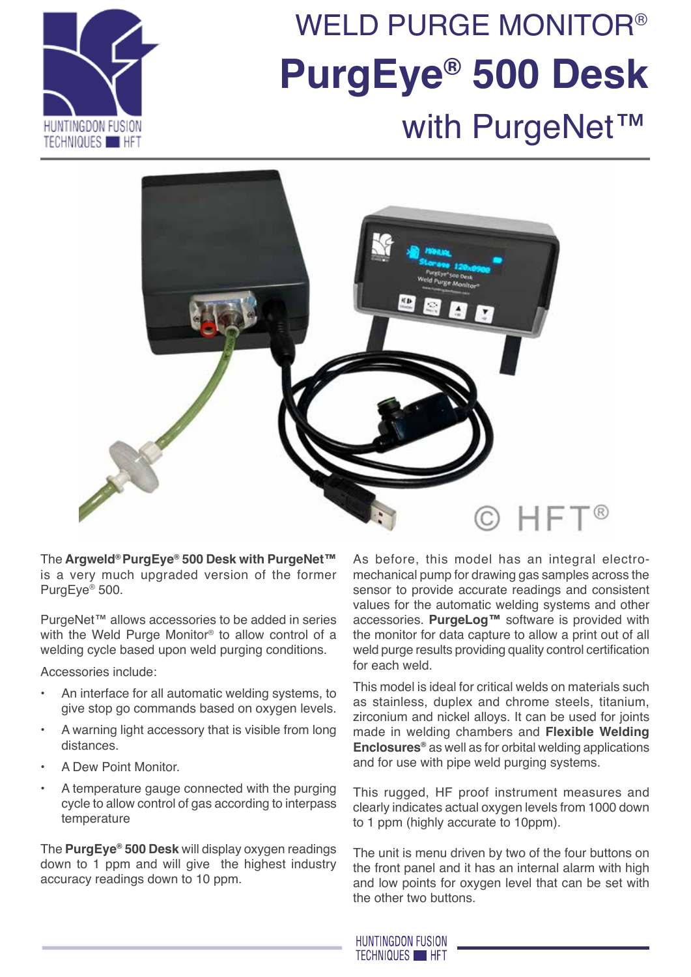

# with PurgeNet™ weld purge monitor® **PurgEye® 500 Desk**



The **Argweld® PurgEye® 500 Desk with PurgeNet™** is a very much upgraded version of the former PurgEye® 500.

PurgeNet™ allows accessories to be added in series with the Weld Purge Monitor<sup>®</sup> to allow control of a welding cycle based upon weld purging conditions.

Accessories include:

- An interface for all automatic welding systems, to give stop go commands based on oxygen levels.
- A warning light accessory that is visible from long distances.
- A Dew Point Monitor.
- A temperature gauge connected with the purging cycle to allow control of gas according to interpass temperature

The **PurgEye® 500 Desk** will display oxygen readings down to 1 ppm and will give the highest industry accuracy readings down to 10 ppm.

As before, this model has an integral electromechanical pump for drawing gas samples across the sensor to provide accurate readings and consistent values for the automatic welding systems and other accessories. **PurgeLog™** software is provided with the monitor for data capture to allow a print out of all weld purge results providing quality control certification for each weld.

This model is ideal for critical welds on materials such as stainless, duplex and chrome steels, titanium, zirconium and nickel alloys. It can be used for joints made in welding chambers and **Flexible Welding Enclosures®** as well as for orbital welding applications and for use with pipe weld purging systems.

This rugged, HF proof instrument measures and clearly indicates actual oxygen levels from 1000 down to 1 ppm (highly accurate to 10ppm).

The unit is menu driven by two of the four buttons on the front panel and it has an internal alarm with high and low points for oxygen level that can be set with the other two buttons.

**HUNTINGDON FUSION TECHNIQUES HET**